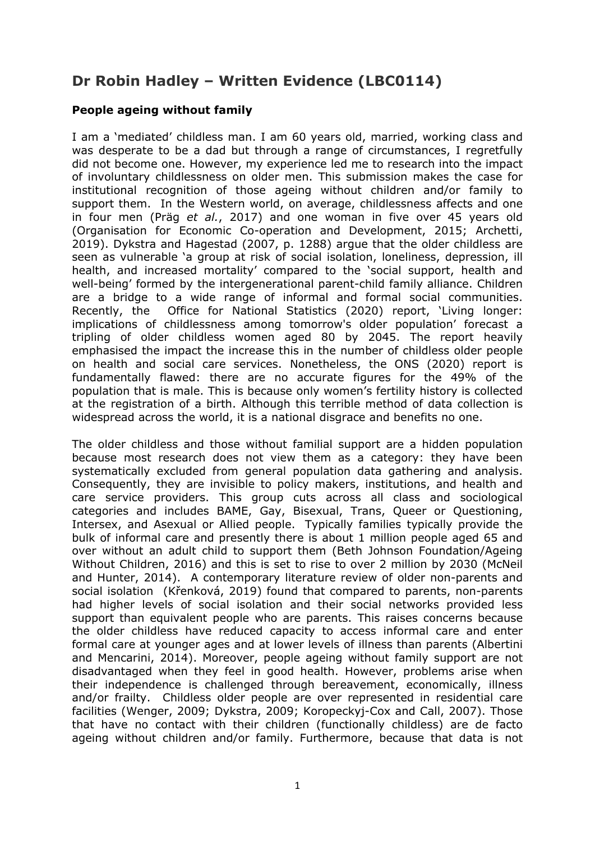## **Dr Robin Hadley – Written Evidence (LBC0114)**

## **People ageing without family**

I am a 'mediated' childless man. I am 60 years old, married, working class and was desperate to be a dad but through a range of circumstances, I regretfully did not become one. However, my experience led me to research into the impact of involuntary childlessness on older men. This submission makes the case for institutional recognition of those ageing without children and/or family to support them. In the Western world, on average, childlessness affects and one in four men (Präg *et al.*, 2017) and one woman in five over 45 years old (Organisation for Economic Co-operation and Development, 2015; Archetti, 2019). Dykstra and Hagestad (2007, p. 1288) argue that the older childless are seen as vulnerable 'a group at risk of social isolation, loneliness, depression, ill health, and increased mortality' compared to the 'social support, health and well-being' formed by the intergenerational parent-child family alliance. Children are a bridge to a wide range of informal and formal social communities. Recently, the Office for National Statistics (2020) report, 'Living longer: implications of childlessness among tomorrow's older population' forecast a tripling of older childless women aged 80 by 2045. The report heavily emphasised the impact the increase this in the number of childless older people on health and social care services. Nonetheless, the ONS (2020) report is fundamentally flawed: there are no accurate figures for the 49% of the population that is male. This is because only women's fertility history is collected at the registration of a birth. Although this terrible method of data collection is widespread across the world, it is a national disgrace and benefits no one.

The older childless and those without familial support are a hidden population because most research does not view them as a category: they have been systematically excluded from general population data gathering and analysis. Consequently, they are invisible to policy makers, institutions, and health and care service providers. This group cuts across all class and sociological categories and includes BAME, Gay, Bisexual, Trans, Queer or Questioning, Intersex, and Asexual or Allied people. Typically families typically provide the bulk of informal care and presently there is about 1 million people aged 65 and over without an adult child to support them (Beth Johnson Foundation/Ageing Without Children, 2016) and this is set to rise to over 2 million by 2030 (McNeil and Hunter, 2014). A contemporary literature review of older non-parents and social isolation (Křenková, 2019) found that compared to parents, non-parents had higher levels of social isolation and their social networks provided less support than equivalent people who are parents. This raises concerns because the older childless have reduced capacity to access informal care and enter formal care at younger ages and at lower levels of illness than parents (Albertini and Mencarini, 2014). Moreover, people ageing without family support are not disadvantaged when they feel in good health. However, problems arise when their independence is challenged through bereavement, economically, illness and/or frailty. Childless older people are over represented in residential care facilities (Wenger, 2009; Dykstra, 2009; Koropeckyj-Cox and Call, 2007). Those that have no contact with their children (functionally childless) are de facto ageing without children and/or family. Furthermore, because that data is not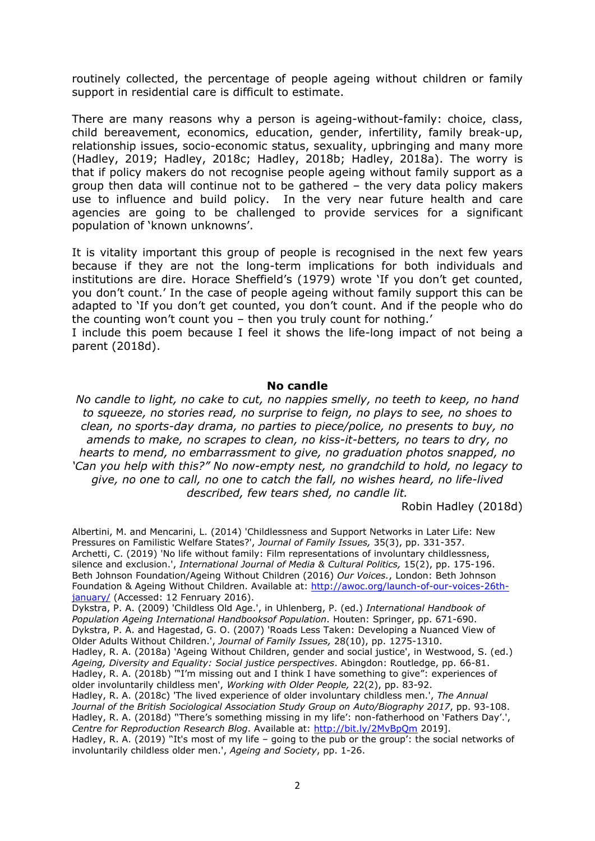routinely collected, the percentage of people ageing without children or family support in residential care is difficult to estimate.

There are many reasons why a person is ageing-without-family: choice, class, child bereavement, economics, education, gender, infertility, family break-up, relationship issues, socio-economic status, sexuality, upbringing and many more (Hadley, 2019; Hadley, 2018c; Hadley, 2018b; Hadley, 2018a). The worry is that if policy makers do not recognise people ageing without family support as a group then data will continue not to be gathered – the very data policy makers use to influence and build policy. In the very near future health and care agencies are going to be challenged to provide services for a significant population of 'known unknowns'.

It is vitality important this group of people is recognised in the next few years because if they are not the long-term implications for both individuals and institutions are dire. Horace Sheffield's (1979) wrote 'If you don't get counted, you don't count.' In the case of people ageing without family support this can be adapted to 'If you don't get counted, you don't count. And if the people who do the counting won't count you – then you truly count for nothing.'

I include this poem because I feel it shows the life-long impact of not being a parent (2018d).

## **No candle**

*No candle to light, no cake to cut, no nappies smelly, no teeth to keep, no hand to squeeze, no stories read, no surprise to feign, no plays to see, no shoes to clean, no sports-day drama, no parties to piece/police, no presents to buy, no amends to make, no scrapes to clean, no kiss-it-betters, no tears to dry, no hearts to mend, no embarrassment to give, no graduation photos snapped, no 'Can you help with this?" No now-empty nest, no grandchild to hold, no legacy to give, no one to call, no one to catch the fall, no wishes heard, no life-lived described, few tears shed, no candle lit.*

Robin Hadley (2018d)

Albertini, M. and Mencarini, L. (2014) 'Childlessness and Support Networks in Later Life: New Pressures on Familistic Welfare States?', *Journal of Family Issues,* 35(3), pp. 331-357. Archetti, C. (2019) 'No life without family: Film representations of involuntary childlessness, silence and exclusion.', *International Journal of Media & Cultural Politics,* 15(2), pp. 175-196. Beth Johnson Foundation/Ageing Without Children (2016) *Our Voices.*, London: Beth Johnson Foundation & Ageing Without Children. Available at: [http://awoc.org/launch-of-our-voices-26th](http://awoc.org/launch-of-our-voices-26th-january/)[january/](http://awoc.org/launch-of-our-voices-26th-january/) (Accessed: 12 Fenruary 2016).

Dykstra, P. A. (2009) 'Childless Old Age.', in Uhlenberg, P. (ed.) *International Handbook of Population Ageing International Handbooksof Population*. Houten: Springer, pp. 671-690. Dykstra, P. A. and Hagestad, G. O. (2007) 'Roads Less Taken: Developing a Nuanced View of Older Adults Without Children.', *Journal of Family Issues,* 28(10), pp. 1275-1310. Hadley, R. A. (2018a) 'Ageing Without Children, gender and social justice', in Westwood, S. (ed.) *Ageing, Diversity and Equality: Social justice perspectives*. Abingdon: Routledge, pp. 66-81. Hadley, R. A. (2018b) "I'm missing out and I think I have something to give": experiences of older involuntarily childless men', *Working with Older People,* 22(2), pp. 83-92. Hadley, R. A. (2018c) 'The lived experience of older involuntary childless men.', *The Annual Journal of the British Sociological Association Study Group on Auto/Biography 2017*, pp. 93-108. Hadley, R. A. (2018d) ''There's something missing in my life': non-fatherhood on 'Fathers Day'.', *Centre for Reproduction Research Blog*. Available at: <http://bit.ly/2MvBpQm> 2019]. Hadley, R. A. (2019) ''It's most of my life – going to the pub or the group': the social networks of involuntarily childless older men.', *Ageing and Society*, pp. 1-26.